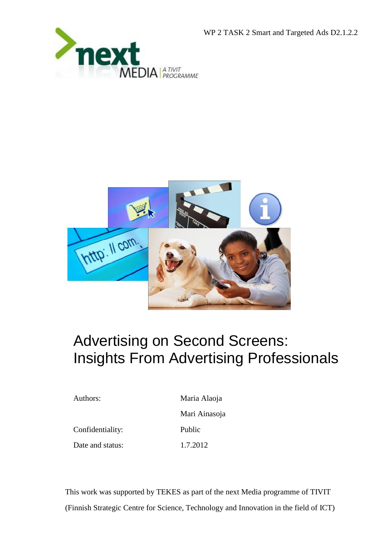





# Advertising on Second Screens: Insights From Advertising Professionals

Authors: Maria Alaoja Mari Ainasoja Confidentiality: Public Date and status: 1.7.2012

This work was supported by TEKES as part of the next Media programme of TIVIT (Finnish Strategic Centre for Science, Technology and Innovation in the field of ICT)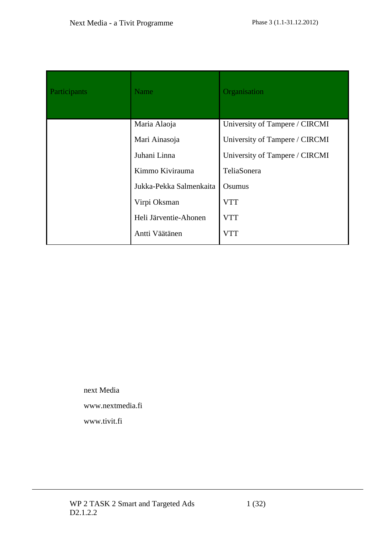| Participants | <b>Name</b>             | Organisation                   |
|--------------|-------------------------|--------------------------------|
|              | Maria Alaoja            | University of Tampere / CIRCMI |
|              | Mari Ainasoja           | University of Tampere / CIRCMI |
|              | Juhani Linna            | University of Tampere / CIRCMI |
|              | Kimmo Kivirauma         | TeliaSonera                    |
|              | Jukka-Pekka Salmenkaita | Osumus                         |
|              | Virpi Oksman            | <b>VTT</b>                     |
|              | Heli Järventie-Ahonen   | <b>VTT</b>                     |
|              | Antti Väätänen          | <b>VTT</b>                     |

next Media www.nextmedia.fi www.tivit.fi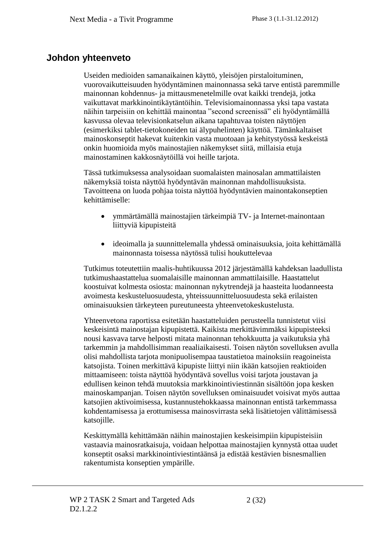### **Johdon yhteenveto**

Useiden medioiden samanaikainen käyttö, yleisöjen pirstaloituminen, vuorovaikutteisuuden hyödyntäminen mainonnassa sekä tarve entistä paremmille mainonnan kohdennus- ja mittausmenetelmille ovat kaikki trendejä, jotka vaikuttavat markkinointikäytäntöihin. Televisiomainonnassa yksi tapa vastata näihin tarpeisiin on kehittää mainontaa "second screenissä" eli hyödyntämällä kasvussa olevaa televisionkatselun aikana tapahtuvaa toisten näyttöjen (esimerkiksi tablet-tietokoneiden tai älypuhelinten) käyttöä. Tämänkaltaiset mainoskonseptit hakevat kuitenkin vasta muotoaan ja kehitystyössä keskeistä onkin huomioida myös mainostajien näkemykset siitä, millaisia etuja mainostaminen kakkosnäytöillä voi heille tarjota.

Tässä tutkimuksessa analysoidaan suomalaisten mainosalan ammattilaisten näkemyksiä toista näyttöä hyödyntävän mainonnan mahdollisuuksista. Tavoitteena on luoda pohjaa toista näyttöä hyödyntävien mainontakonseptien kehittämiselle:

- ymmärtämällä mainostajien tärkeimpiä TV- ja Internet-mainontaan liittyviä kipupisteitä
- ideoimalla ja suunnittelemalla yhdessä ominaisuuksia, joita kehittämällä mainonnasta toisessa näytössä tulisi houkuttelevaa

Tutkimus toteutettiin maalis-huhtikuussa 2012 järjestämällä kahdeksan laadullista tutkimushaastattelua suomalaisille mainonnan ammattilaisille. Haastattelut koostuivat kolmesta osiosta: mainonnan nykytrendejä ja haasteita luodanneesta avoimesta keskusteluosuudesta, yhteissuunnitteluosuudesta sekä erilaisten ominaisuuksien tärkeyteen pureutuneesta yhteenvetokeskustelusta.

Yhteenvetona raportissa esitetään haastatteluiden perusteella tunnistetut viisi keskeisintä mainostajan kipupistettä. Kaikista merkittävimmäksi kipupisteeksi nousi kasvava tarve helposti mitata mainonnan tehokkuutta ja vaikutuksia yhä tarkemmin ja mahdollisimman reaaliaikaisesti. Toisen näytön sovelluksen avulla olisi mahdollista tarjota monipuolisempaa taustatietoa mainoksiin reagoineista katsojista. Toinen merkittävä kipupiste liittyi niin ikään katsojien reaktioiden mittaamiseen: toista näyttöä hyödyntävä sovellus voisi tarjota joustavan ja edullisen keinon tehdä muutoksia markkinointiviestinnän sisältöön jopa kesken mainoskampanjan. Toisen näytön sovelluksen ominaisuudet voisivat myös auttaa katsojien aktivoimisessa, kustannustehokkaassa mainonnan entistä tarkemmassa kohdentamisessa ja erottumisessa mainosvirrasta sekä lisätietojen välittämisessä katsojille.

Keskittymällä kehittämään näihin mainostajien keskeisimpiin kipupisteisiin vastaavia mainosratkaisuja, voidaan helpottaa mainostajien kynnystä ottaa uudet konseptit osaksi markkinointiviestintäänsä ja edistää kestävien bisnesmallien rakentumista konseptien ympärille.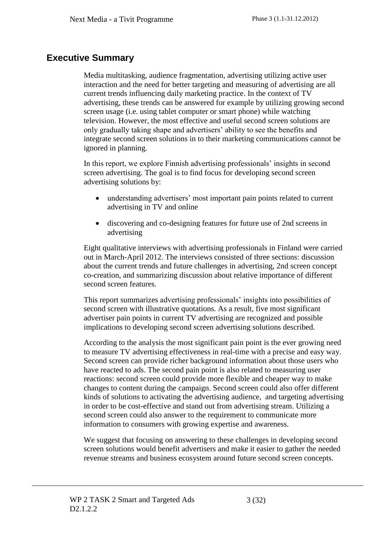### **Executive Summary**

Media multitasking, audience fragmentation, advertising utilizing active user interaction and the need for better targeting and measuring of advertising are all current trends influencing daily marketing practice. In the context of TV advertising, these trends can be answered for example by utilizing growing second screen usage (i.e. using tablet computer or smart phone) while watching television. However, the most effective and useful second screen solutions are only gradually taking shape and advertisers' ability to see the benefits and integrate second screen solutions in to their marketing communications cannot be ignored in planning.

In this report, we explore Finnish advertising professionals' insights in second screen advertising. The goal is to find focus for developing second screen advertising solutions by:

- understanding advertisers' most important pain points related to current advertising in TV and online
- discovering and co-designing features for future use of 2nd screens in advertising

Eight qualitative interviews with advertising professionals in Finland were carried out in March-April 2012. The interviews consisted of three sections: discussion about the current trends and future challenges in advertising, 2nd screen concept co-creation, and summarizing discussion about relative importance of different second screen features.

This report summarizes advertising professionals' insights into possibilities of second screen with illustrative quotations. As a result, five most significant advertiser pain points in current TV advertising are recognized and possible implications to developing second screen advertising solutions described.

According to the analysis the most significant pain point is the ever growing need to measure TV advertising effectiveness in real-time with a precise and easy way. Second screen can provide richer background information about those users who have reacted to ads. The second pain point is also related to measuring user reactions: second screen could provide more flexible and cheaper way to make changes to content during the campaign. Second screen could also offer different kinds of solutions to activating the advertising audience, and targeting advertising in order to be cost-effective and stand out from advertising stream. Utilizing a second screen could also answer to the requirement to communicate more information to consumers with growing expertise and awareness.

We suggest that focusing on answering to these challenges in developing second screen solutions would benefit advertisers and make it easier to gather the needed revenue streams and business ecosystem around future second screen concepts.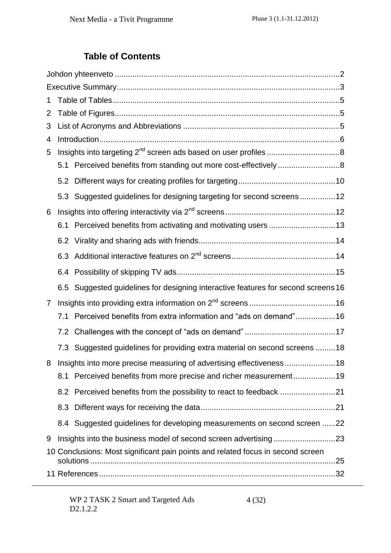# **Table of Contents**

| 1                                                                                    |
|--------------------------------------------------------------------------------------|
| 2                                                                                    |
| 3                                                                                    |
| 4                                                                                    |
| 5                                                                                    |
| 5.1                                                                                  |
| 5.2                                                                                  |
| Suggested guidelines for designing targeting for second screens12<br>5.3             |
| 6                                                                                    |
| 6.1 Perceived benefits from activating and motivating users 13                       |
|                                                                                      |
|                                                                                      |
| 6.4                                                                                  |
| Suggested guidelines for designing interactive features for second screens 16<br>6.5 |
| $\overline{7}$                                                                       |
| Perceived benefits from extra information and "ads on demand"16<br>7.1               |
|                                                                                      |
| 7.3 Suggested guidelines for providing extra material on second screens 18           |
| 8 Insights into more precise measuring of advertising effectiveness18                |
| Perceived benefits from more precise and richer measurement19<br>8.1                 |
| 8.2 Perceived benefits from the possibility to react to feedback                     |
| 8.3                                                                                  |
| 8.4 Suggested guidelines for developing measurements on second screen 22             |
| 9                                                                                    |
| 10 Conclusions: Most significant pain points and related focus in second screen      |
|                                                                                      |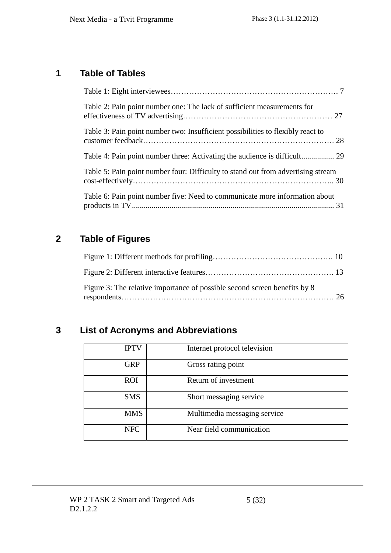# **1 Table of Tables**

| Table 2: Pain point number one: The lack of sufficient measurements for          |  |
|----------------------------------------------------------------------------------|--|
| Table 3: Pain point number two: Insufficient possibilities to flexibly react to  |  |
|                                                                                  |  |
| Table 5: Pain point number four: Difficulty to stand out from advertising stream |  |
| Table 6: Pain point number five: Need to communicate more information about      |  |

### **2 Table of Figures**

| Figure 3: The relative importance of possible second screen benefits by 8 |  |
|---------------------------------------------------------------------------|--|

# **3 List of Acronyms and Abbreviations**

| <b>IPTV</b> | Internet protocol television |
|-------------|------------------------------|
| <b>GRP</b>  | Gross rating point           |
| <b>ROI</b>  | Return of investment         |
| <b>SMS</b>  | Short messaging service      |
| <b>MMS</b>  | Multimedia messaging service |
| <b>NFC</b>  | Near field communication     |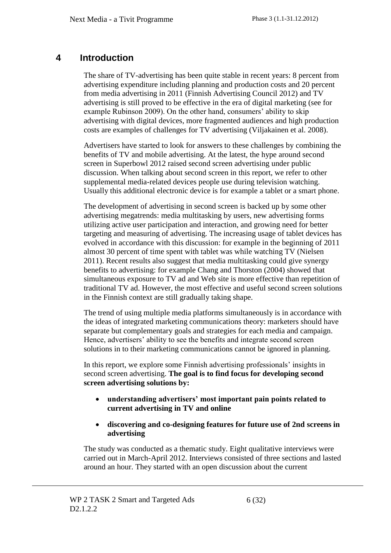### **4 Introduction**

The share of TV-advertising has been quite stable in recent years: 8 percent from advertising expenditure including planning and production costs and 20 percent from media advertising in 2011 (Finnish Advertising Council 2012) and TV advertising is still proved to be effective in the era of digital marketing (see for example Rubinson 2009). On the other hand, consumers' ability to skip advertising with digital devices, more fragmented audiences and high production costs are examples of challenges for TV advertising (Viljakainen et al. 2008).

Advertisers have started to look for answers to these challenges by combining the benefits of TV and mobile advertising. At the latest, the hype around second screen in Superbowl 2012 raised second screen advertising under public discussion. When talking about second screen in this report, we refer to other supplemental media-related devices people use during television watching. Usually this additional electronic device is for example a tablet or a smart phone.

The development of advertising in second screen is backed up by some other advertising megatrends: media multitasking by users, new advertising forms utilizing active user participation and interaction, and growing need for better targeting and measuring of advertising. The increasing usage of tablet devices has evolved in accordance with this discussion: for example in the beginning of 2011 almost 30 percent of time spent with tablet was while watching TV (Nielsen 2011). Recent results also suggest that media multitasking could give synergy benefits to advertising: for example Chang and Thorston (2004) showed that simultaneous exposure to TV ad and Web site is more effective than repetition of traditional TV ad. However, the most effective and useful second screen solutions in the Finnish context are still gradually taking shape.

The trend of using multiple media platforms simultaneously is in accordance with the ideas of integrated marketing communications theory: marketers should have separate but complementary goals and strategies for each media and campaign. Hence, advertisers' ability to see the benefits and integrate second screen solutions in to their marketing communications cannot be ignored in planning.

In this report, we explore some Finnish advertising professionals' insights in second screen advertising. **The goal is to find focus for developing second screen advertising solutions by:**

- **understanding advertisers' most important pain points related to current advertising in TV and online**
- **discovering and co-designing features for future use of 2nd screens in advertising**

The study was conducted as a thematic study. Eight qualitative interviews were carried out in March-April 2012. Interviews consisted of three sections and lasted around an hour. They started with an open discussion about the current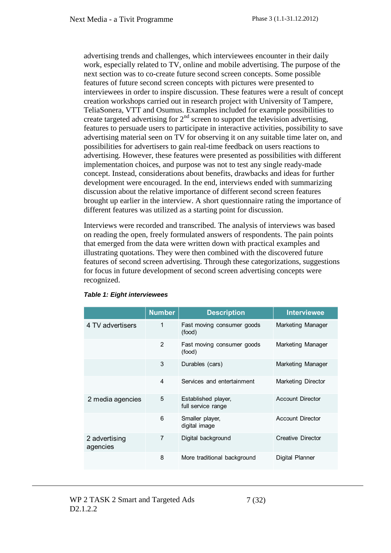advertising trends and challenges, which interviewees encounter in their daily work, especially related to TV, online and mobile advertising. The purpose of the next section was to co-create future second screen concepts. Some possible features of future second screen concepts with pictures were presented to interviewees in order to inspire discussion. These features were a result of concept creation workshops carried out in research project with University of Tampere, TeliaSonera, VTT and Osumus. Examples included for example possibilities to create targeted advertising for  $2<sup>nd</sup>$  screen to support the television advertising, features to persuade users to participate in interactive activities, possibility to save advertising material seen on TV for observing it on any suitable time later on, and possibilities for advertisers to gain real-time feedback on users reactions to advertising. However, these features were presented as possibilities with different implementation choices, and purpose was not to test any single ready-made concept. Instead, considerations about benefits, drawbacks and ideas for further development were encouraged. In the end, interviews ended with summarizing discussion about the relative importance of different second screen features brought up earlier in the interview. A short questionnaire rating the importance of different features was utilized as a starting point for discussion.

Interviews were recorded and transcribed. The analysis of interviews was based on reading the open, freely formulated answers of respondents. The pain points that emerged from the data were written down with practical examples and illustrating quotations. They were then combined with the discovered future features of second screen advertising. Through these categorizations, suggestions for focus in future development of second screen advertising concepts were recognized.

|                           | <b>Number</b> | <b>Description</b>                        | <b>Interviewee</b>       |
|---------------------------|---------------|-------------------------------------------|--------------------------|
| 4 TV advertisers          | 1             | Fast moving consumer goods<br>(food)      | Marketing Manager        |
|                           | 2             | Fast moving consumer goods<br>(food)      | Marketing Manager        |
|                           | 3             | Durables (cars)                           | Marketing Manager        |
|                           | 4             | Services and entertainment                | Marketing Director       |
| 2 media agencies          | 5             | Established player,<br>full service range | <b>Account Director</b>  |
|                           | 6             | Smaller player,<br>digital image          | <b>Account Director</b>  |
| 2 advertising<br>agencies | 7             | Digital background                        | <b>Creative Director</b> |
|                           | 8             | More traditional background               | Digital Planner          |

#### <span id="page-7-0"></span>*Table 1: Eight interviewees*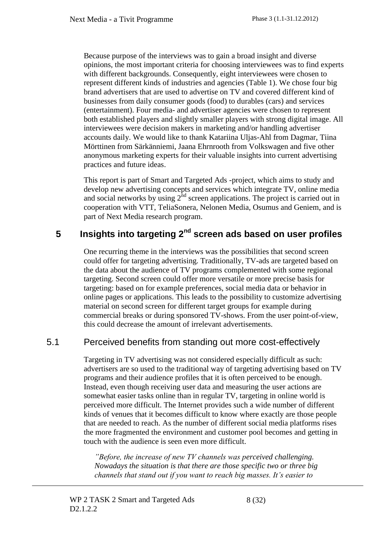Because purpose of the interviews was to gain a broad insight and diverse opinions, the most important criteria for choosing interviewees was to find experts with different backgrounds. Consequently, eight interviewees were chosen to represent different kinds of industries and agencies (Table 1). We chose four big brand advertisers that are used to advertise on TV and covered different kind of businesses from daily consumer goods (food) to durables (cars) and services (entertainment). Four media- and advertiser agencies were chosen to represent both established players and slightly smaller players with strong digital image. All interviewees were decision makers in marketing and/or handling advertiser accounts daily. We would like to thank Katariina Uljas-Ahl from Dagmar, Tiina Mörttinen from Särkänniemi, Jaana Ehrnrooth from Volkswagen and five other anonymous marketing experts for their valuable insights into current advertising practices and future ideas.

This report is part of Smart and Targeted Ads -project, which aims to study and develop new advertising concepts and services which integrate TV, online media and social networks by using  $2<sup>nd</sup>$  screen applications. The project is carried out in cooperation with VTT, TeliaSonera, Nelonen Media, Osumus and Geniem, and is part of Next Media research program.

### **5 Insights into targeting 2nd screen ads based on user profiles**

One recurring theme in the interviews was the possibilities that second screen could offer for targeting advertising. Traditionally, TV-ads are targeted based on the data about the audience of TV programs complemented with some regional targeting. Second screen could offer more versatile or more precise basis for targeting: based on for example preferences, social media data or behavior in online pages or applications. This leads to the possibility to customize advertising material on second screen for different target groups for example during commercial breaks or during sponsored TV-shows. From the user point-of-view, this could decrease the amount of irrelevant advertisements.

#### 5.1 Perceived benefits from standing out more cost-effectively

Targeting in TV advertising was not considered especially difficult as such: advertisers are so used to the traditional way of targeting advertising based on TV programs and their audience profiles that it is often perceived to be enough. Instead, even though receiving user data and measuring the user actions are somewhat easier tasks online than in regular TV, targeting in online world is perceived more difficult. The Internet provides such a wide number of different kinds of venues that it becomes difficult to know where exactly are those people that are needed to reach. As the number of different social media platforms rises the more fragmented the environment and customer pool becomes and getting in touch with the audience is seen even more difficult.

*"Before, the increase of new TV channels was perceived challenging. Nowadays the situation is that there are those specific two or three big channels that stand out if you want to reach big masses. It's easier to*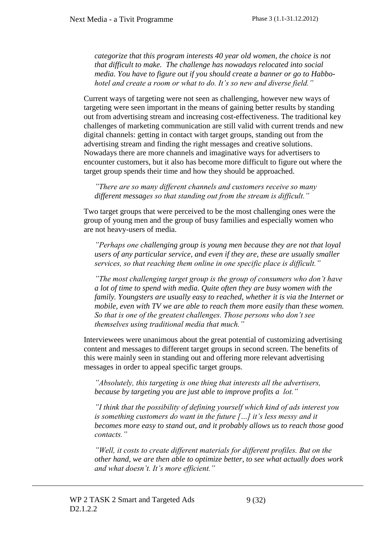*categorize that this program interests 40 year old women, the choice is not that difficult to make. The challenge has nowadays relocated into social media. You have to figure out if you should create a banner or go to Habbohotel and create a room or what to do. It's so new and diverse field."*

Current ways of targeting were not seen as challenging, however new ways of targeting were seen important in the means of gaining better results by standing out from advertising stream and increasing cost-effectiveness. The traditional key challenges of marketing communication are still valid with current trends and new digital channels: getting in contact with target groups, standing out from the advertising stream and finding the right messages and creative solutions. Nowadays there are more channels and imaginative ways for advertisers to encounter customers, but it also has become more difficult to figure out where the target group spends their time and how they should be approached.

*"There are so many different channels and customers receive so many different messages so that standing out from the stream is difficult."* 

Two target groups that were perceived to be the most challenging ones were the group of young men and the group of busy families and especially women who are not heavy-users of media.

*"Perhaps one challenging group is young men because they are not that loyal users of any particular service, and even if they are, these are usually smaller services, so that reaching them online in one specific place is difficult."*

*"The most challenging target group is the group of consumers who don't have a lot of time to spend with media. Quite often they are busy women with the family. Youngsters are usually easy to reached, whether it is via the Internet or mobile, even with TV we are able to reach them more easily than these women. So that is one of the greatest challenges. Those persons who don't see themselves using traditional media that much."*

Interviewees were unanimous about the great potential of customizing advertising content and messages to different target groups in second screen. The benefits of this were mainly seen in standing out and offering more relevant advertising messages in order to appeal specific target groups.

*"Absolutely, this targeting is one thing that interests all the advertisers, because by targeting you are just able to improve profits a lot."*

*"I think that the possibility of defining yourself which kind of ads interest you is something customers do want in the future […] it's less messy and it becomes more easy to stand out, and it probably allows us to reach those good contacts."*

*"Well, it costs to create different materials for different profiles. But on the other hand, we are then able to optimize better, to see what actually does work and what doesn't. It's more efficient."*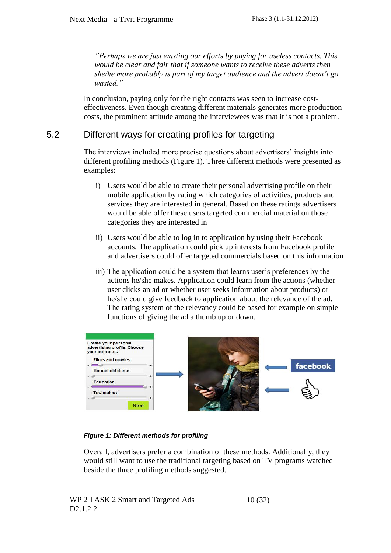*"Perhaps we are just wasting our efforts by paying for useless contacts. This would be clear and fair that if someone wants to receive these adverts then she/he more probably is part of my target audience and the advert doesn't go wasted."*

In conclusion, paying only for the right contacts was seen to increase costeffectiveness. Even though creating different materials generates more production costs, the prominent attitude among the interviewees was that it is not a problem.

#### 5.2 Different ways for creating profiles for targeting

The interviews included more precise questions about advertisers' insights into different profiling methods (Figure 1). Three different methods were presented as examples:

- i) Users would be able to create their personal advertising profile on their mobile application by rating which categories of activities, products and services they are interested in general. Based on these ratings advertisers would be able offer these users targeted commercial material on those categories they are interested in
- ii) Users would be able to log in to application by using their Facebook accounts. The application could pick up interests from Facebook profile and advertisers could offer targeted commercials based on this information
- iii) The application could be a system that learns user's preferences by the actions he/she makes. Application could learn from the actions (whether user clicks an ad or whether user seeks information about products) or he/she could give feedback to application about the relevance of the ad. The rating system of the relevancy could be based for example on simple functions of giving the ad a thumb up or down.

| Create your personal<br>advertising profile. Choose<br>your interests. |  |  |                 |
|------------------------------------------------------------------------|--|--|-----------------|
| <b>Films and movies</b><br><b>Household items</b>                      |  |  | <b>facebook</b> |
| <b>Education</b>                                                       |  |  |                 |
| <sub>1</sub> Technology                                                |  |  |                 |
| <b>Next</b>                                                            |  |  |                 |

#### <span id="page-10-0"></span>*Figure 1: Different methods for profiling*

Overall, advertisers prefer a combination of these methods. Additionally, they would still want to use the traditional targeting based on TV programs watched beside the three profiling methods suggested.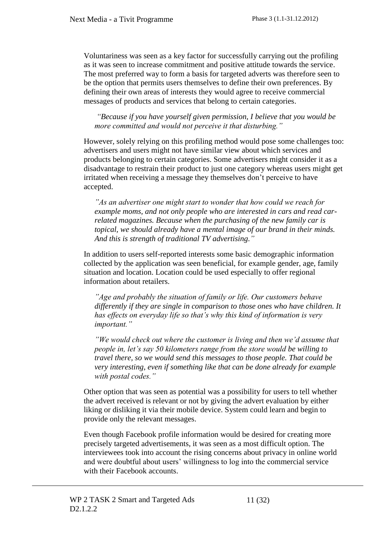Voluntariness was seen as a key factor for successfully carrying out the profiling as it was seen to increase commitment and positive attitude towards the service. The most preferred way to form a basis for targeted adverts was therefore seen to be the option that permits users themselves to define their own preferences. By defining their own areas of interests they would agree to receive commercial messages of products and services that belong to certain categories.

*"Because if you have yourself given permission, I believe that you would be more committed and would not perceive it that disturbing."*

However, solely relying on this profiling method would pose some challenges too: advertisers and users might not have similar view about which services and products belonging to certain categories. Some advertisers might consider it as a disadvantage to restrain their product to just one category whereas users might get irritated when receiving a message they themselves don't perceive to have accepted.

*"As an advertiser one might start to wonder that how could we reach for example moms, and not only people who are interested in cars and read carrelated magazines. Because when the purchasing of the new family car is topical, we should already have a mental image of our brand in their minds. And this is strength of traditional TV advertising."*

In addition to users self-reported interests some basic demographic information collected by the application was seen beneficial, for example gender, age, family situation and location. Location could be used especially to offer regional information about retailers.

*"Age and probably the situation of family or life. Our customers behave differently if they are single in comparison to those ones who have children. It has effects on everyday life so that's why this kind of information is very important."*

*"We would check out where the customer is living and then we'd assume that people in, let's say 50 kilometers range from the store would be willing to travel there, so we would send this messages to those people. That could be very interesting, even if something like that can be done already for example with postal codes."* 

Other option that was seen as potential was a possibility for users to tell whether the advert received is relevant or not by giving the advert evaluation by either liking or disliking it via their mobile device. System could learn and begin to provide only the relevant messages.

Even though Facebook profile information would be desired for creating more precisely targeted advertisements, it was seen as a most difficult option. The interviewees took into account the rising concerns about privacy in online world and were doubtful about users' willingness to log into the commercial service with their Facebook accounts.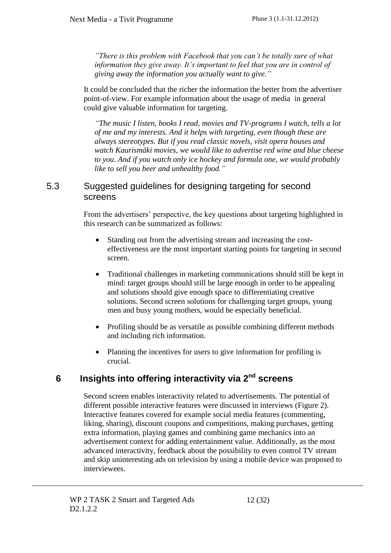*"There is this problem with Facebook that you can't be totally sure of what information they give away. It's important to feel that you are in control of giving away the information you actually want to give."*

It could be concluded that the richer the information the better from the advertiser point-of-view. For example information about the usage of media in general could give valuable information for targeting.

*"The music I listen, books I read, movies and TV-programs I watch, tells a lot of me and my interests. And it helps with targeting, even though these are always stereotypes. But if you read classic novels, visit opera houses and watch Kaurismäki movies, we would like to advertise red wine and blue cheese to you. And if you watch only ice hockey and formula one, we would probably like to sell you beer and unhealthy food."*

#### 5.3 Suggested guidelines for designing targeting for second screens

From the advertisers' perspective, the key questions about targeting highlighted in this research can be summarized as follows:

- Standing out from the advertising stream and increasing the costeffectiveness are the most important starting points for targeting in second screen.
- Traditional challenges in marketing communications should still be kept in mind: target groups should still be large enough in order to be appealing and solutions should give enough space to differentiating creative solutions. Second screen solutions for challenging target groups, young men and busy young mothers, would be especially beneficial.
- Profiling should be as versatile as possible combining different methods and including rich information.
- Planning the incentives for users to give information for profiling is crucial.

# **6 Insights into offering interactivity via 2nd screens**

Second screen enables interactivity related to advertisements. The potential of different possible interactive features were discussed in interviews (Figure 2). Interactive features covered for example social media features (commenting, liking, sharing), discount coupons and competitions, making purchases, getting extra information, playing games and combining game mechanics into an advertisement context for adding entertainment value. Additionally, as the most advanced interactivity, feedback about the possibility to even control TV stream and skip uninteresting ads on television by using a mobile device was proposed to interviewees.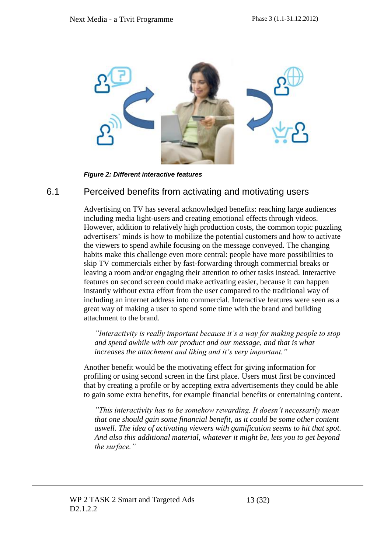

*Figure 2: Different interactive features*

#### <span id="page-13-0"></span>6.1 Perceived benefits from activating and motivating users

Advertising on TV has several acknowledged benefits: reaching large audiences including media light-users and creating emotional effects through videos. However, addition to relatively high production costs, the common topic puzzling advertisers' minds is how to mobilize the potential customers and how to activate the viewers to spend awhile focusing on the message conveyed. The changing habits make this challenge even more central: people have more possibilities to skip TV commercials either by fast-forwarding through commercial breaks or leaving a room and/or engaging their attention to other tasks instead. Interactive features on second screen could make activating easier, because it can happen instantly without extra effort from the user compared to the traditional way of including an internet address into commercial. Interactive features were seen as a great way of making a user to spend some time with the brand and building attachment to the brand.

*"Interactivity is really important because it's a way for making people to stop and spend awhile with our product and our message, and that is what increases the attachment and liking and it's very important."*

Another benefit would be the motivating effect for giving information for profiling or using second screen in the first place. Users must first be convinced that by creating a profile or by accepting extra advertisements they could be able to gain some extra benefits, for example financial benefits or entertaining content.

*"This interactivity has to be somehow rewarding. It doesn't necessarily mean that one should gain some financial benefit, as it could be some other content aswell. The idea of activating viewers with gamification seems to hit that spot. And also this additional material, whatever it might be, lets you to get beyond the surface."*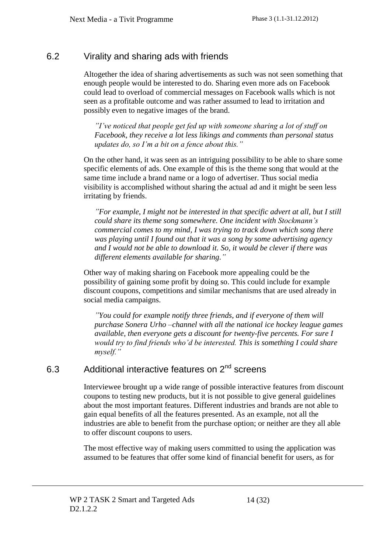### 6.2 Virality and sharing ads with friends

Altogether the idea of sharing advertisements as such was not seen something that enough people would be interested to do. Sharing even more ads on Facebook could lead to overload of commercial messages on Facebook walls which is not seen as a profitable outcome and was rather assumed to lead to irritation and possibly even to negative images of the brand.

*"I've noticed that people get fed up with someone sharing a lot of stuff on Facebook, they receive a lot less likings and comments than personal status updates do, so I'm a bit on a fence about this."*

On the other hand, it was seen as an intriguing possibility to be able to share some specific elements of ads. One example of this is the theme song that would at the same time include a brand name or a logo of advertiser. Thus social media visibility is accomplished without sharing the actual ad and it might be seen less irritating by friends.

*"For example, I might not be interested in that specific advert at all, but I still could share its theme song somewhere. One incident with Stockmann's commercial comes to my mind, I was trying to track down which song there was playing until I found out that it was a song by some advertising agency and I would not be able to download it. So, it would be clever if there was different elements available for sharing."*

Other way of making sharing on Facebook more appealing could be the possibility of gaining some profit by doing so. This could include for example discount coupons, competitions and similar mechanisms that are used already in social media campaigns.

*"You could for example notify three friends, and if everyone of them will purchase Sonera Urho –channel with all the national ice hockey league games available, then everyone gets a discount for twenty-five percents. For sure I would try to find friends who'd be interested. This is something I could share myself."*

## 6.3 Additional interactive features on 2<sup>nd</sup> screens

Interviewee brought up a wide range of possible interactive features from discount coupons to testing new products, but it is not possible to give general guidelines about the most important features. Different industries and brands are not able to gain equal benefits of all the features presented. As an example, not all the industries are able to benefit from the purchase option; or neither are they all able to offer discount coupons to users.

The most effective way of making users committed to using the application was assumed to be features that offer some kind of financial benefit for users, as for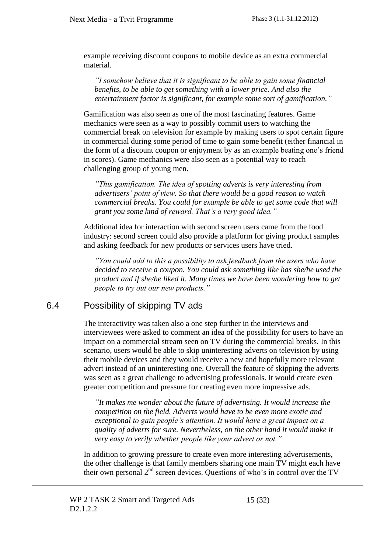example receiving discount coupons to mobile device as an extra commercial material.

*"I somehow believe that it is significant to be able to gain some financial benefits, to be able to get something with a lower price. And also the entertainment factor is significant, for example some sort of gamification."*

Gamification was also seen as one of the most fascinating features. Game mechanics were seen as a way to possibly commit users to watching the commercial break on television for example by making users to spot certain figure in commercial during some period of time to gain some benefit (either financial in the form of a discount coupon or enjoyment by as an example beating one's friend in scores). Game mechanics were also seen as a potential way to reach challenging group of young men.

*"This gamification. The idea of spotting adverts is very interesting from advertisers' point of view. So that there would be a good reason to watch commercial breaks. You could for example be able to get some code that will grant you some kind of reward. That's a very good idea."*

Additional idea for interaction with second screen users came from the food industry: second screen could also provide a platform for giving product samples and asking feedback for new products or services users have tried.

*"You could add to this a possibility to ask feedback from the users who have decided to receive a coupon. You could ask something like has she/he used the product and if she/he liked it. Many times we have been wondering how to get people to try out our new products."*

#### 6.4 Possibility of skipping TV ads

The interactivity was taken also a one step further in the interviews and interviewees were asked to comment an idea of the possibility for users to have an impact on a commercial stream seen on TV during the commercial breaks. In this scenario, users would be able to skip uninteresting adverts on television by using their mobile devices and they would receive a new and hopefully more relevant advert instead of an uninteresting one. Overall the feature of skipping the adverts was seen as a great challenge to advertising professionals. It would create even greater competition and pressure for creating even more impressive ads.

*"It makes me wonder about the future of advertising. It would increase the competition on the field. Adverts would have to be even more exotic and exceptional to gain people's attention. It would have a great impact on a quality of adverts for sure. Nevertheless, on the other hand it would make it very easy to verify whether people like your advert or not."*

In addition to growing pressure to create even more interesting advertisements, the other challenge is that family members sharing one main TV might each have their own personal  $2<sup>nd</sup>$  screen devices. Questions of who's in control over the TV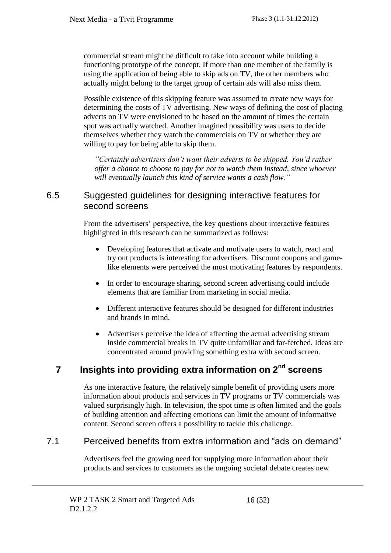commercial stream might be difficult to take into account while building a functioning prototype of the concept. If more than one member of the family is using the application of being able to skip ads on TV, the other members who actually might belong to the target group of certain ads will also miss them.

Possible existence of this skipping feature was assumed to create new ways for determining the costs of TV advertising. New ways of defining the cost of placing adverts on TV were envisioned to be based on the amount of times the certain spot was actually watched. Another imagined possibility was users to decide themselves whether they watch the commercials on TV or whether they are willing to pay for being able to skip them.

*"Certainly advertisers don't want their adverts to be skipped. You'd rather offer a chance to choose to pay for not to watch them instead, since whoever will eventually launch this kind of service wants a cash flow."*

#### 6.5 Suggested guidelines for designing interactive features for second screens

From the advertisers' perspective, the key questions about interactive features highlighted in this research can be summarized as follows:

- Developing features that activate and motivate users to watch, react and try out products is interesting for advertisers. Discount coupons and gamelike elements were perceived the most motivating features by respondents.
- In order to encourage sharing, second screen advertising could include elements that are familiar from marketing in social media.
- Different interactive features should be designed for different industries and brands in mind.
- Advertisers perceive the idea of affecting the actual advertising stream inside commercial breaks in TV quite unfamiliar and far-fetched. Ideas are concentrated around providing something extra with second screen.

### **7 Insights into providing extra information on 2nd screens**

As one interactive feature, the relatively simple benefit of providing users more information about products and services in TV programs or TV commercials was valued surprisingly high. In television, the spot time is often limited and the goals of building attention and affecting emotions can limit the amount of informative content. Second screen offers a possibility to tackle this challenge.

#### 7.1 Perceived benefits from extra information and "ads on demand"

Advertisers feel the growing need for supplying more information about their products and services to customers as the ongoing societal debate creates new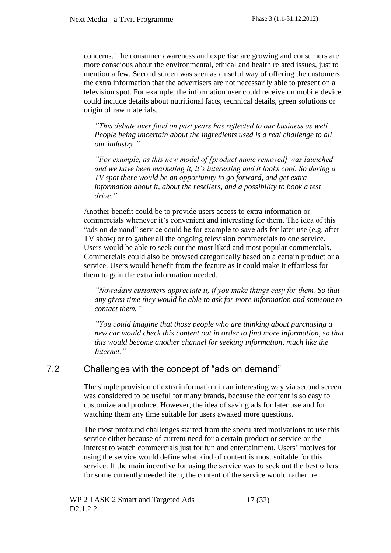concerns. The consumer awareness and expertise are growing and consumers are more conscious about the environmental, ethical and health related issues, just to mention a few. Second screen was seen as a useful way of offering the customers the extra information that the advertisers are not necessarily able to present on a television spot. For example, the information user could receive on mobile device could include details about nutritional facts, technical details, green solutions or origin of raw materials.

*"This debate over food on past years has reflected to our business as well. People being uncertain about the ingredients used is a real challenge to all our industry."*

*"For example, as this new model of [product name removed] was launched and we have been marketing it, it's interesting and it looks cool. So during a TV spot there would be an opportunity to go forward, and get extra information about it, about the resellers, and a possibility to book a test drive."*

Another benefit could be to provide users access to extra information or commercials whenever it's convenient and interesting for them. The idea of this "ads on demand" service could be for example to save ads for later use (e.g. after TV show) or to gather all the ongoing television commercials to one service. Users would be able to seek out the most liked and most popular commercials. Commercials could also be browsed categorically based on a certain product or a service. Users would benefit from the feature as it could make it effortless for them to gain the extra information needed.

*"Nowadays customers appreciate it, if you make things easy for them. So that any given time they would be able to ask for more information and someone to contact them."*

*"You could imagine that those people who are thinking about purchasing a new car would check this content out in order to find more information, so that this would become another channel for seeking information, much like the Internet."*

#### 7.2 Challenges with the concept of "ads on demand"

The simple provision of extra information in an interesting way via second screen was considered to be useful for many brands, because the content is so easy to customize and produce. However, the idea of saving ads for later use and for watching them any time suitable for users awaked more questions.

The most profound challenges started from the speculated motivations to use this service either because of current need for a certain product or service or the interest to watch commercials just for fun and entertainment. Users' motives for using the service would define what kind of content is most suitable for this service. If the main incentive for using the service was to seek out the best offers for some currently needed item, the content of the service would rather be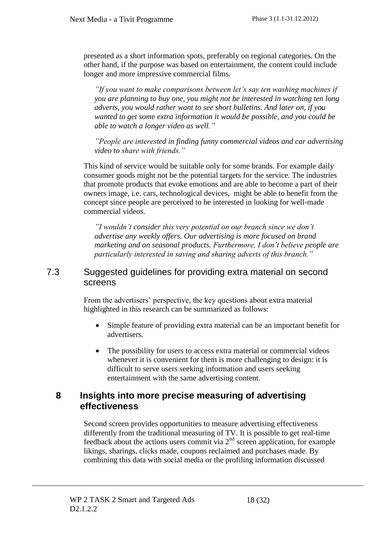presented as a short information spots, preferably on regional categories. On the other hand, if the purpose was based on entertainment, the content could include longer and more impressive commercial films.

*"If you want to make comparisons between let's say ten washing machines if you are planning to buy one, you might not be interested in watching ten long adverts, you would rather want to see short bulletins. And later on, if you wanted to get some extra information it would be possible, and you could be able to watch a longer video as well."*

*"People are interested in finding funny commercial videos and car advertising video to share with friends."*

This kind of service would be suitable only for some brands. For example daily consumer goods might not be the potential targets for the service. The industries that promote products that evoke emotions and are able to become a part of their owners image, i.e. cars, technological devices, might be able to benefit from the concept since people are perceived to be interested in looking for well-made commercial videos.

*"I wouldn't consider this very potential on our branch since we don't advertise any weekly offers. Our advertising is more focused on brand marketing and on seasonal products. Furthermore, I don't believe people are particularly interested in saving and sharing adverts of this branch."*

#### 7.3 Suggested guidelines for providing extra material on second screens

From the advertisers' perspective, the key questions about extra material highlighted in this research can be summarized as follows:

- Simple feature of providing extra material can be an important benefit for advertisers.
- The possibility for users to access extra material or commercial videos whenever it is convenient for them is more challenging to design: it is difficult to serve users seeking information and users seeking entertainment with the same advertising content.

#### **8 Insights into more precise measuring of advertising effectiveness**

Second screen provides opportunities to measure advertising effectiveness differently from the traditional measuring of TV. It is possible to get real-time feedback about the actions users commit via  $2<sup>nd</sup>$  screen application, for example likings, sharings, clicks made, coupons reclaimed and purchases made. By combining this data with social media or the profiling information discussed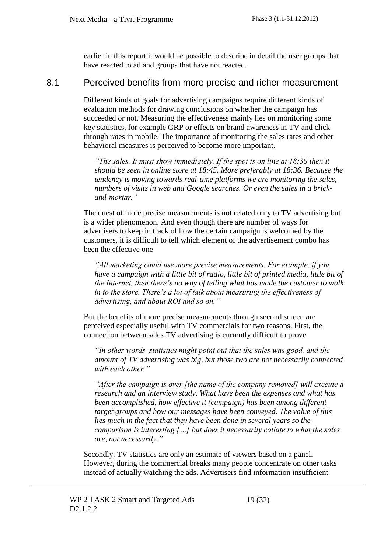earlier in this report it would be possible to describe in detail the user groups that have reacted to ad and groups that have not reacted.

#### 8.1 Perceived benefits from more precise and richer measurement

Different kinds of goals for advertising campaigns require different kinds of evaluation methods for drawing conclusions on whether the campaign has succeeded or not. Measuring the effectiveness mainly lies on monitoring some key statistics, for example GRP or effects on brand awareness in TV and clickthrough rates in mobile. The importance of monitoring the sales rates and other behavioral measures is perceived to become more important.

*"The sales. It must show immediately. If the spot is on line at 18:35 then it should be seen in online store at 18:45. More preferably at 18:36. Because the tendency is moving towards real-time platforms we are monitoring the sales, numbers of visits in web and Google searches. Or even the sales in a brickand-mortar."*

The quest of more precise measurements is not related only to TV advertising but is a wider phenomenon. And even though there are number of ways for advertisers to keep in track of how the certain campaign is welcomed by the customers, it is difficult to tell which element of the advertisement combo has been the effective one

*"All marketing could use more precise measurements. For example, if you have a campaign with a little bit of radio, little bit of printed media, little bit of the Internet, then there's no way of telling what has made the customer to walk in to the store. There's a lot of talk about measuring the effectiveness of advertising, and about ROI and so on."* 

But the benefits of more precise measurements through second screen are perceived especially useful with TV commercials for two reasons. First, the connection between sales TV advertising is currently difficult to prove.

*"In other words, statistics might point out that the sales was good, and the amount of TV advertising was big, but those two are not necessarily connected with each other."*

*"After the campaign is over [the name of the company removed] will execute a research and an interview study. What have been the expenses and what has been accomplished, how effective it (campaign) has been among different target groups and how our messages have been conveyed. The value of this lies much in the fact that they have been done in several years so the comparison is interesting […] but does it necessarily collate to what the sales are, not necessarily."* 

Secondly, TV statistics are only an estimate of viewers based on a panel. However, during the commercial breaks many people concentrate on other tasks instead of actually watching the ads. Advertisers find information insufficient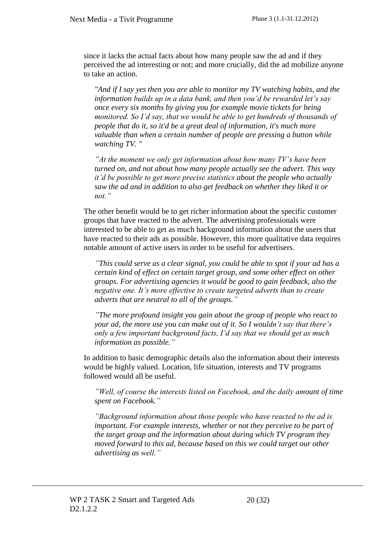since it lacks the actual facts about how many people saw the ad and if they perceived the ad interesting or not; and more crucially, did the ad mobilize anyone to take an action.

*"And if I say yes then you are able to monitor my TV watching habits, and the information builds up in a data bank, and then you'd be rewarded let's say once every six months by giving you for example movie tickets for being monitored. So I'd say, that we would be able to get hundreds of thousands of people that do it, so it'd be a great deal of information, it's much more valuable than when a certain number of people are pressing a button while watching TV. "*

*"At the moment we only get information about how many TV's have been turned on, and not about how many people actually see the advert. This way it'd be possible to get more precise statistics about the people who actually saw the ad and in addition to also get feedback on whether they liked it or not."*

The other benefit would be to get richer information about the specific customer groups that have reacted to the advert. The advertising professionals were interested to be able to get as much background information about the users that have reacted to their ads as possible. However, this more qualitative data requires notable amount of active users in order to be useful for advertisers.

*"This could serve as a clear signal, you could be able to spot if your ad has a certain kind of effect on certain target group, and some other effect on other groups. For advertising agencies it would be good to gain feedback, also the negative one. It's more effective to create targeted adverts than to create adverts that are neutral to all of the groups."*

*"The more profound insight you gain about the group of people who react to your ad, the more use you can make out of it. So I wouldn't say that there's only a few important background facts, I'd say that we should get as much information as possible."*

In addition to basic demographic details also the information about their interests would be highly valued. Location, life situation, interests and TV programs followed would all be useful.

*"Well, of course the interests listed on Facebook, and the daily amount of time spent on Facebook."*

*"Background information about those people who have reacted to the ad is important. For example interests, whether or not they perceive to be part of the target group and the information about during which TV program they moved forward to this ad, because based on this we could target our other advertising as well."*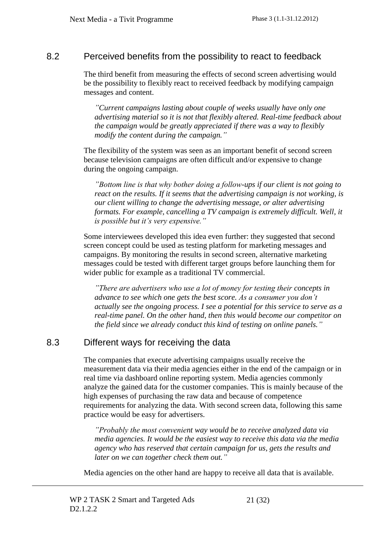#### 8.2 Perceived benefits from the possibility to react to feedback

The third benefit from measuring the effects of second screen advertising would be the possibility to flexibly react to received feedback by modifying campaign messages and content.

*"Current campaigns lasting about couple of weeks usually have only one advertising material so it is not that flexibly altered. Real-time feedback about the campaign would be greatly appreciated if there was a way to flexibly modify the content during the campaign."*

The flexibility of the system was seen as an important benefit of second screen because television campaigns are often difficult and/or expensive to change during the ongoing campaign.

*"Bottom line is that why bother doing a follow-ups if our client is not going to react on the results. If it seems that the advertising campaign is not working, is our client willing to change the advertising message, or alter advertising*  formats. For example, cancelling a TV campaign is extremely difficult. Well, it *is possible but it's very expensive."*

Some interviewees developed this idea even further: they suggested that second screen concept could be used as testing platform for marketing messages and campaigns. By monitoring the results in second screen, alternative marketing messages could be tested with different target groups before launching them for wider public for example as a traditional TV commercial.

*"There are advertisers who use a lot of money for testing their concepts in advance to see which one gets the best score. As a consumer you don't actually see the ongoing process. I see a potential for this service to serve as a real-time panel. On the other hand, then this would become our competitor on the field since we already conduct this kind of testing on online panels."*

### 8.3 Different ways for receiving the data

The companies that execute advertising campaigns usually receive the measurement data via their media agencies either in the end of the campaign or in real time via dashboard online reporting system. Media agencies commonly analyze the gained data for the customer companies. This is mainly because of the high expenses of purchasing the raw data and because of competence requirements for analyzing the data. With second screen data, following this same practice would be easy for advertisers.

*"Probably the most convenient way would be to receive analyzed data via media agencies. It would be the easiest way to receive this data via the media agency who has reserved that certain campaign for us, gets the results and later on we can together check them out."*

Media agencies on the other hand are happy to receive all data that is available.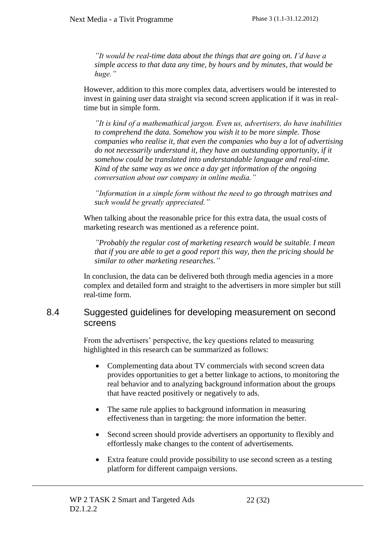*"It would be real-time data about the things that are going on. I'd have a simple access to that data any time, by hours and by minutes, that would be huge."*

However, addition to this more complex data, advertisers would be interested to invest in gaining user data straight via second screen application if it was in realtime but in simple form.

*"It is kind of a mathemathical jargon. Even us, advertisers, do have inabilities to comprehend the data. Somehow you wish it to be more simple. Those companies who realise it, that even the companies who buy a lot of advertising do not necessarily understand it, they have an outstanding opportunity, if it somehow could be translated into understandable language and real-time. Kind of the same way as we once a day get information of the ongoing conversation about our company in online media."*

*"Information in a simple form without the need to go through matrixes and such would be greatly appreciated."*

When talking about the reasonable price for this extra data, the usual costs of marketing research was mentioned as a reference point.

*"Probably the regular cost of marketing research would be suitable. I mean that if you are able to get a good report this way, then the pricing should be similar to other marketing researches."*

In conclusion, the data can be delivered both through media agencies in a more complex and detailed form and straight to the advertisers in more simpler but still real-time form.

#### 8.4 Suggested guidelines for developing measurement on second screens

From the advertisers' perspective, the key questions related to measuring highlighted in this research can be summarized as follows:

- Complementing data about TV commercials with second screen data provides opportunities to get a better linkage to actions, to monitoring the real behavior and to analyzing background information about the groups that have reacted positively or negatively to ads.
- The same rule applies to background information in measuring effectiveness than in targeting: the more information the better.
- Second screen should provide advertisers an opportunity to flexibly and effortlessly make changes to the content of advertisements.
- Extra feature could provide possibility to use second screen as a testing platform for different campaign versions.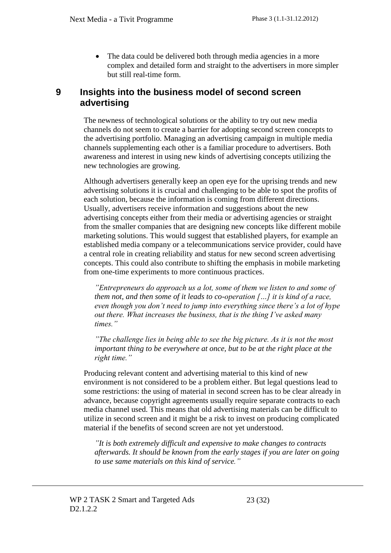• The data could be delivered both through media agencies in a more complex and detailed form and straight to the advertisers in more simpler but still real-time form.

#### **9 Insights into the business model of second screen advertising**

The newness of technological solutions or the ability to try out new media channels do not seem to create a barrier for adopting second screen concepts to the advertising portfolio. Managing an advertising campaign in multiple media channels supplementing each other is a familiar procedure to advertisers. Both awareness and interest in using new kinds of advertising concepts utilizing the new technologies are growing.

Although advertisers generally keep an open eye for the uprising trends and new advertising solutions it is crucial and challenging to be able to spot the profits of each solution, because the information is coming from different directions. Usually, advertisers receive information and suggestions about the new advertising concepts either from their media or advertising agencies or straight from the smaller companies that are designing new concepts like different mobile marketing solutions. This would suggest that established players, for example an established media company or a telecommunications service provider, could have a central role in creating reliability and status for new second screen advertising concepts. This could also contribute to shifting the emphasis in mobile marketing from one-time experiments to more continuous practices.

*"Entrepreneurs do approach us a lot, some of them we listen to and some of them not, and then some of it leads to co-operation […] it is kind of a race, even though you don't need to jump into everything since there's a lot of hype out there. What increases the business, that is the thing I've asked many times."* 

*"The challenge lies in being able to see the big picture. As it is not the most important thing to be everywhere at once, but to be at the right place at the right time."* 

Producing relevant content and advertising material to this kind of new environment is not considered to be a problem either. But legal questions lead to some restrictions: the using of material in second screen has to be clear already in advance, because copyright agreements usually require separate contracts to each media channel used. This means that old advertising materials can be difficult to utilize in second screen and it might be a risk to invest on producing complicated material if the benefits of second screen are not yet understood.

*"It is both extremely difficult and expensive to make changes to contracts afterwards. It should be known from the early stages if you are later on going to use same materials on this kind of service."*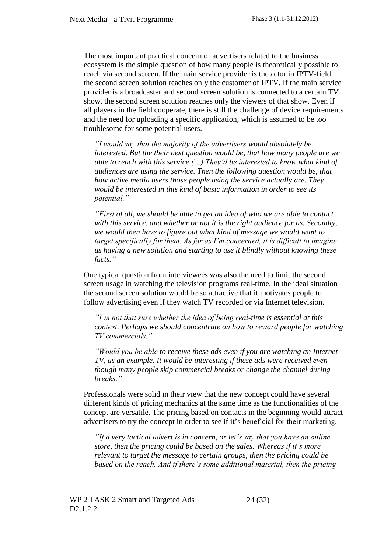The most important practical concern of advertisers related to the business ecosystem is the simple question of how many people is theoretically possible to reach via second screen. If the main service provider is the actor in IPTV-field, the second screen solution reaches only the customer of IPTV. If the main service provider is a broadcaster and second screen solution is connected to a certain TV show, the second screen solution reaches only the viewers of that show. Even if all players in the field cooperate, there is still the challenge of device requirements and the need for uploading a specific application, which is assumed to be too troublesome for some potential users.

*"I would say that the majority of the advertisers would absolutely be interested. But the their next question would be, that how many people are we able to reach with this service (…) They'd be interested to know what kind of audiences are using the service. Then the following question would be, that how active media users those people using the service actually are. They would be interested in this kind of basic information in order to see its potential."*

*"First of all, we should be able to get an idea of who we are able to contact with this service, and whether or not it is the right audience for us. Secondly, we would then have to figure out what kind of message we would want to target specifically for them. As far as I'm concerned, it is difficult to imagine us having a new solution and starting to use it blindly without knowing these facts."*

One typical question from interviewees was also the need to limit the second screen usage in watching the television programs real-time. In the ideal situation the second screen solution would be so attractive that it motivates people to follow advertising even if they watch TV recorded or via Internet television.

*"I'm not that sure whether the idea of being real-time is essential at this context. Perhaps we should concentrate on how to reward people for watching TV commercials."*

*"Would you be able to receive these ads even if you are watching an Internet TV, as an example. It would be interesting if these ads were received even though many people skip commercial breaks or change the channel during breaks."*

Professionals were solid in their view that the new concept could have several different kinds of pricing mechanics at the same time as the functionalities of the concept are versatile. The pricing based on contacts in the beginning would attract advertisers to try the concept in order to see if it's beneficial for their marketing.

*"If a very tactical advert is in concern, or let's say that you have an online store, then the pricing could be based on the sales. Whereas if it's more relevant to target the message to certain groups, then the pricing could be based on the reach. And if there's some additional material, then the pricing*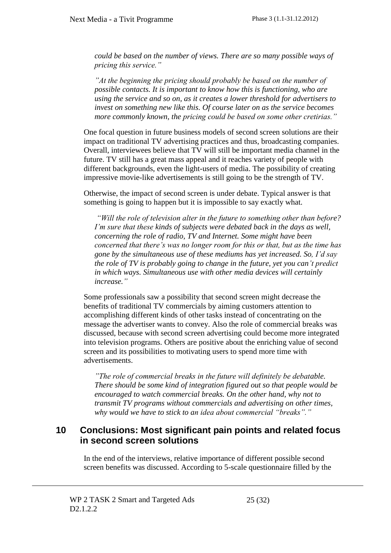*could be based on the number of views. There are so many possible ways of pricing this service."*

*"At the beginning the pricing should probably be based on the number of possible contacts. It is important to know how this is functioning, who are using the service and so on, as it creates a lower threshold for advertisers to invest on something new like this. Of course later on as the service becomes more commonly known, the pricing could be based on some other cretirias."*

One focal question in future business models of second screen solutions are their impact on traditional TV advertising practices and thus, broadcasting companies. Overall, interviewees believe that TV will still be important media channel in the future. TV still has a great mass appeal and it reaches variety of people with different backgrounds, even the light-users of media. The possibility of creating impressive movie-like advertisements is still going to be the strength of TV.

Otherwise, the impact of second screen is under debate. Typical answer is that something is going to happen but it is impossible to say exactly what.

*"Will the role of television alter in the future to something other than before? I'm sure that these kinds of subjects were debated back in the days as well, concerning the role of radio, TV and Internet. Some might have been concerned that there's was no longer room for this or that, but as the time has gone by the simultaneous use of these mediums has yet increased. So, I'd say the role of TV is probably going to change in the future, yet you can't predict in which ways. Simultaneous use with other media devices will certainly increase."*

Some professionals saw a possibility that second screen might decrease the benefits of traditional TV commercials by aiming customers attention to accomplishing different kinds of other tasks instead of concentrating on the message the advertiser wants to convey. Also the role of commercial breaks was discussed, because with second screen advertising could become more integrated into television programs. Others are positive about the enriching value of second screen and its possibilities to motivating users to spend more time with advertisements.

*"The role of commercial breaks in the future will definitely be debatable. There should be some kind of integration figured out so that people would be encouraged to watch commercial breaks. On the other hand, why not to transmit TV programs without commercials and advertising on other times, why would we have to stick to an idea about commercial "breaks"."*

#### **10 Conclusions: Most significant pain points and related focus in second screen solutions**

In the end of the interviews, relative importance of different possible second screen benefits was discussed. According to 5-scale questionnaire filled by the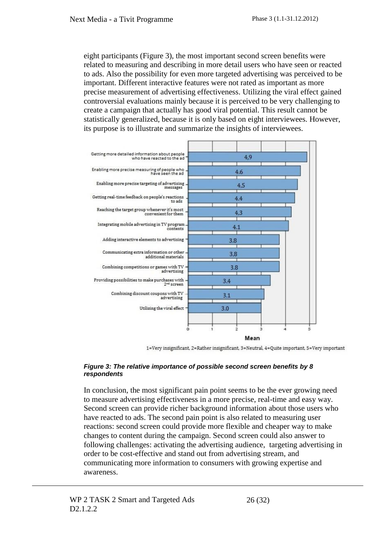eight participants (Figure 3), the most important second screen benefits were related to measuring and describing in more detail users who have seen or reacted to ads. Also the possibility for even more targeted advertising was perceived to be important. Different interactive features were not rated as important as more precise measurement of advertising effectiveness. Utilizing the viral effect gained controversial evaluations mainly because it is perceived to be very challenging to create a campaign that actually has good viral potential. This result cannot be statistically generalized, because it is only based on eight interviewees. However, its purpose is to illustrate and summarize the insights of interviewees.



1=Very insignificant, 2=Rather insignificant, 3=Neutral, 4=Quite important, 5=Very important

#### <span id="page-26-0"></span>*Figure 3: The relative importance of possible second screen benefits by 8 respondents*

In conclusion, the most significant pain point seems to be the ever growing need to measure advertising effectiveness in a more precise, real-time and easy way. Second screen can provide richer background information about those users who have reacted to ads. The second pain point is also related to measuring user reactions: second screen could provide more flexible and cheaper way to make changes to content during the campaign. Second screen could also answer to following challenges: activating the advertising audience, targeting advertising in order to be cost-effective and stand out from advertising stream, and communicating more information to consumers with growing expertise and awareness.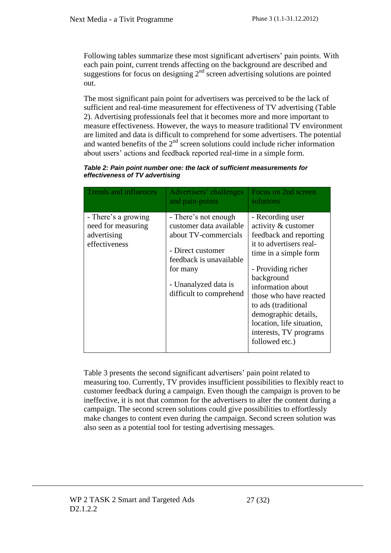Following tables summarize these most significant advertisers' pain points. With each pain point, current trends affecting on the background are described and suggestions for focus on designing  $2<sup>nd</sup>$  screen advertising solutions are pointed out.

The most significant pain point for advertisers was perceived to be the lack of sufficient and real-time measurement for effectiveness of TV advertising (Table 2). Advertising professionals feel that it becomes more and more important to measure effectiveness. However, the ways to measure traditional TV environment are limited and data is difficult to comprehend for some advertisers. The potential and wanted benefits of the  $2<sup>nd</sup>$  screen solutions could include richer information about users' actions and feedback reported real-time in a simple form.

| Table 2: Pain point number one: the lack of sufficient measurements for |  |
|-------------------------------------------------------------------------|--|
| effectiveness of TV advertising                                         |  |

| <b>Trends and influences</b>                                              | Advertisers' challenges<br>and pain-points                                                                                                                                             | Focus on 2nd screen<br>solutions                                                                                                                                                                                                                                                                                                 |
|---------------------------------------------------------------------------|----------------------------------------------------------------------------------------------------------------------------------------------------------------------------------------|----------------------------------------------------------------------------------------------------------------------------------------------------------------------------------------------------------------------------------------------------------------------------------------------------------------------------------|
| - There's a growing<br>need for measuring<br>advertising<br>effectiveness | - There's not enough<br>customer data available<br>about TV-commercials<br>- Direct customer<br>feedback is unavailable<br>for many<br>- Unanalyzed data is<br>difficult to comprehend | - Recording user<br>activity & customer<br>feedback and reporting<br>it to advertisers real-<br>time in a simple form<br>- Providing richer<br>background<br>information about<br>those who have reacted<br>to ads (traditional<br>demographic details,<br>location, life situation,<br>interests, TV programs<br>followed etc.) |

Table 3 presents the second significant advertisers' pain point related to measuring too. Currently, TV provides insufficient possibilities to flexibly react to customer feedback during a campaign. Even though the campaign is proven to be ineffective, it is not that common for the advertisers to alter the content during a campaign. The second screen solutions could give possibilities to effortlessly make changes to content even during the campaign. Second screen solution was also seen as a potential tool for testing advertising messages.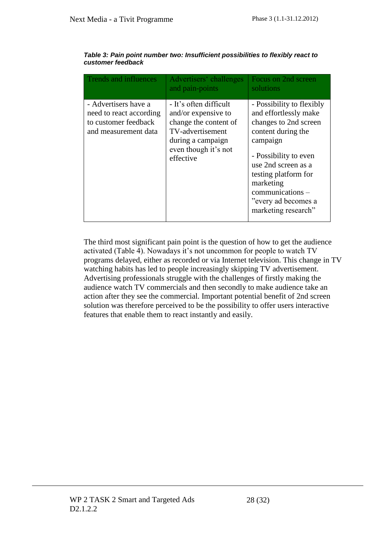| <b>Trends and influences</b>                                                                    | Advertisers' challenges<br>and pain-points                                                                                                           | Focus on 2nd screen<br>solutions                                                                                                                                                                                                                                     |
|-------------------------------------------------------------------------------------------------|------------------------------------------------------------------------------------------------------------------------------------------------------|----------------------------------------------------------------------------------------------------------------------------------------------------------------------------------------------------------------------------------------------------------------------|
| - Advertisers have a<br>need to react according<br>to customer feedback<br>and measurement data | - It's often difficult<br>and/or expensive to<br>change the content of<br>TV-advertisement<br>during a campaign<br>even though it's not<br>effective | - Possibility to flexibly<br>and effortlessly make<br>changes to 2nd screen<br>content during the<br>campaign<br>- Possibility to even<br>use 2nd screen as a<br>testing platform for<br>marketing<br>communications -<br>"every ad becomes a<br>marketing research" |

#### *Table 3: Pain point number two: Insufficient possibilities to flexibly react to customer feedback*

<span id="page-28-0"></span>The third most significant pain point is the question of how to get the audience activated (Table 4). Nowadays it's not uncommon for people to watch TV programs delayed, either as recorded or via Internet television. This change in TV watching habits has led to people increasingly skipping TV advertisement. Advertising professionals struggle with the challenges of firstly making the audience watch TV commercials and then secondly to make audience take an action after they see the commercial. Important potential benefit of 2nd screen solution was therefore perceived to be the possibility to offer users interactive features that enable them to react instantly and easily.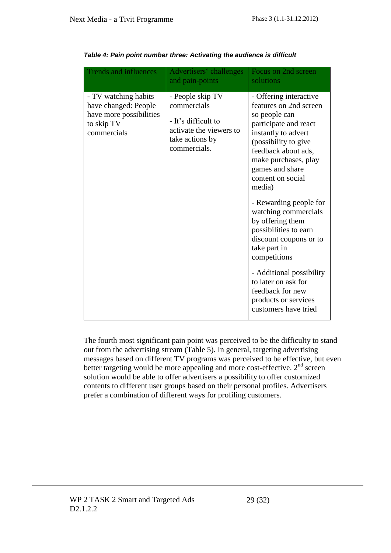| <b>Trends and influences</b>                                                                         | Advertisers' challenges<br>and pain-points                                                                           | Focus on 2nd screen<br>solutions                                                                                                                                                                                                                                                                                                                                                                                                                                                                                           |
|------------------------------------------------------------------------------------------------------|----------------------------------------------------------------------------------------------------------------------|----------------------------------------------------------------------------------------------------------------------------------------------------------------------------------------------------------------------------------------------------------------------------------------------------------------------------------------------------------------------------------------------------------------------------------------------------------------------------------------------------------------------------|
| - TV watching habits<br>have changed: People<br>have more possibilities<br>to skip TV<br>commercials | - People skip TV<br>commercials<br>- It's difficult to<br>activate the viewers to<br>take actions by<br>commercials. | - Offering interactive<br>features on 2nd screen<br>so people can<br>participate and react<br>instantly to advert<br>(possibility to give<br>feedback about ads,<br>make purchases, play<br>games and share<br>content on social<br>media)<br>- Rewarding people for<br>watching commercials<br>by offering them<br>possibilities to earn<br>discount coupons or to<br>take part in<br>competitions<br>- Additional possibility<br>to later on ask for<br>feedback for new<br>products or services<br>customers have tried |

*Table 4: Pain point number three: Activating the audience is difficult*

The fourth most significant pain point was perceived to be the difficulty to stand out from the advertising stream (Table 5). In general, targeting advertising messages based on different TV programs was perceived to be effective, but even better targeting would be more appealing and more cost-effective.  $2<sup>nd</sup>$  screen solution would be able to offer advertisers a possibility to offer customized contents to different user groups based on their personal profiles. Advertisers prefer a combination of different ways for profiling customers.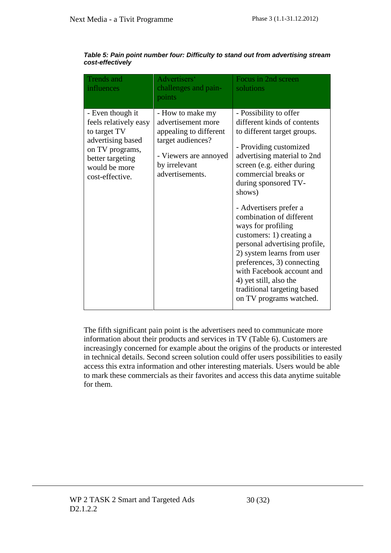| <b>Trends</b> and<br>influences                                                                                                                           | Advertisers'<br>challenges and pain-<br>points                                                                                                     | Focus in 2nd screen<br>solutions                                                                                                                                                                                                                                                                                                                                                                                                                                                                                                                            |
|-----------------------------------------------------------------------------------------------------------------------------------------------------------|----------------------------------------------------------------------------------------------------------------------------------------------------|-------------------------------------------------------------------------------------------------------------------------------------------------------------------------------------------------------------------------------------------------------------------------------------------------------------------------------------------------------------------------------------------------------------------------------------------------------------------------------------------------------------------------------------------------------------|
| - Even though it<br>feels relatively easy<br>to target TV<br>advertising based<br>on TV programs,<br>better targeting<br>would be more<br>cost-effective. | - How to make my<br>advertisement more<br>appealing to different<br>target audiences?<br>- Viewers are annoyed<br>by irrelevant<br>advertisements. | - Possibility to offer<br>different kinds of contents<br>to different target groups.<br>- Providing customized<br>advertising material to 2nd<br>screen (e.g. either during<br>commercial breaks or<br>during sponsored TV-<br>shows)<br>- Advertisers prefer a<br>combination of different<br>ways for profiling<br>customers: 1) creating a<br>personal advertising profile,<br>2) system learns from user<br>preferences, 3) connecting<br>with Facebook account and<br>4) yet still, also the<br>traditional targeting based<br>on TV programs watched. |

<span id="page-30-0"></span>*Table 5: Pain point number four: Difficulty to stand out from advertising stream cost-effectively*

The fifth significant pain point is the advertisers need to communicate more information about their products and services in TV (Table 6). Customers are increasingly concerned for example about the origins of the products or interested in technical details. Second screen solution could offer users possibilities to easily access this extra information and other interesting materials. Users would be able to mark these commercials as their favorites and access this data anytime suitable for them.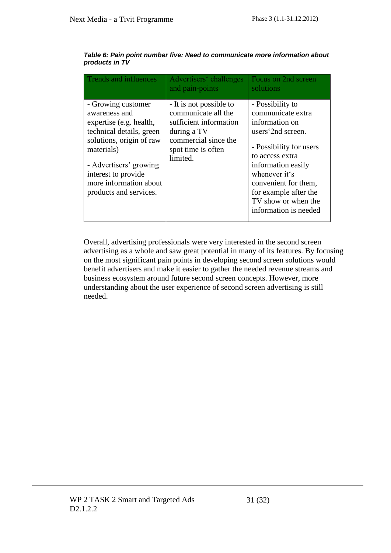| <b>Trends and influences</b>                                                                                                                                                                                                              | Advertisers' challenges<br>and pain-points                                                                                                        | Focus on 2nd screen<br>solutions                                                                                                                                                                                                                                   |
|-------------------------------------------------------------------------------------------------------------------------------------------------------------------------------------------------------------------------------------------|---------------------------------------------------------------------------------------------------------------------------------------------------|--------------------------------------------------------------------------------------------------------------------------------------------------------------------------------------------------------------------------------------------------------------------|
| - Growing customer<br>awareness and<br>expertise (e.g. health,<br>technical details, green<br>solutions, origin of raw<br>materials)<br>- Advertisers' growing<br>interest to provide<br>more information about<br>products and services. | - It is not possible to<br>communicate all the<br>sufficient information<br>during a TV<br>commercial since the<br>spot time is often<br>limited. | - Possibility to<br>communicate extra<br>information on<br>users 2nd screen.<br>- Possibility for users<br>to access extra<br>information easily<br>whenever it's<br>convenient for them,<br>for example after the<br>TV show or when the<br>information is needed |

<span id="page-31-0"></span>*Table 6: Pain point number five: Need to communicate more information about products in TV*

Overall, advertising professionals were very interested in the second screen advertising as a whole and saw great potential in many of its features. By focusing on the most significant pain points in developing second screen solutions would benefit advertisers and make it easier to gather the needed revenue streams and business ecosystem around future second screen concepts. However, more understanding about the user experience of second screen advertising is still needed.